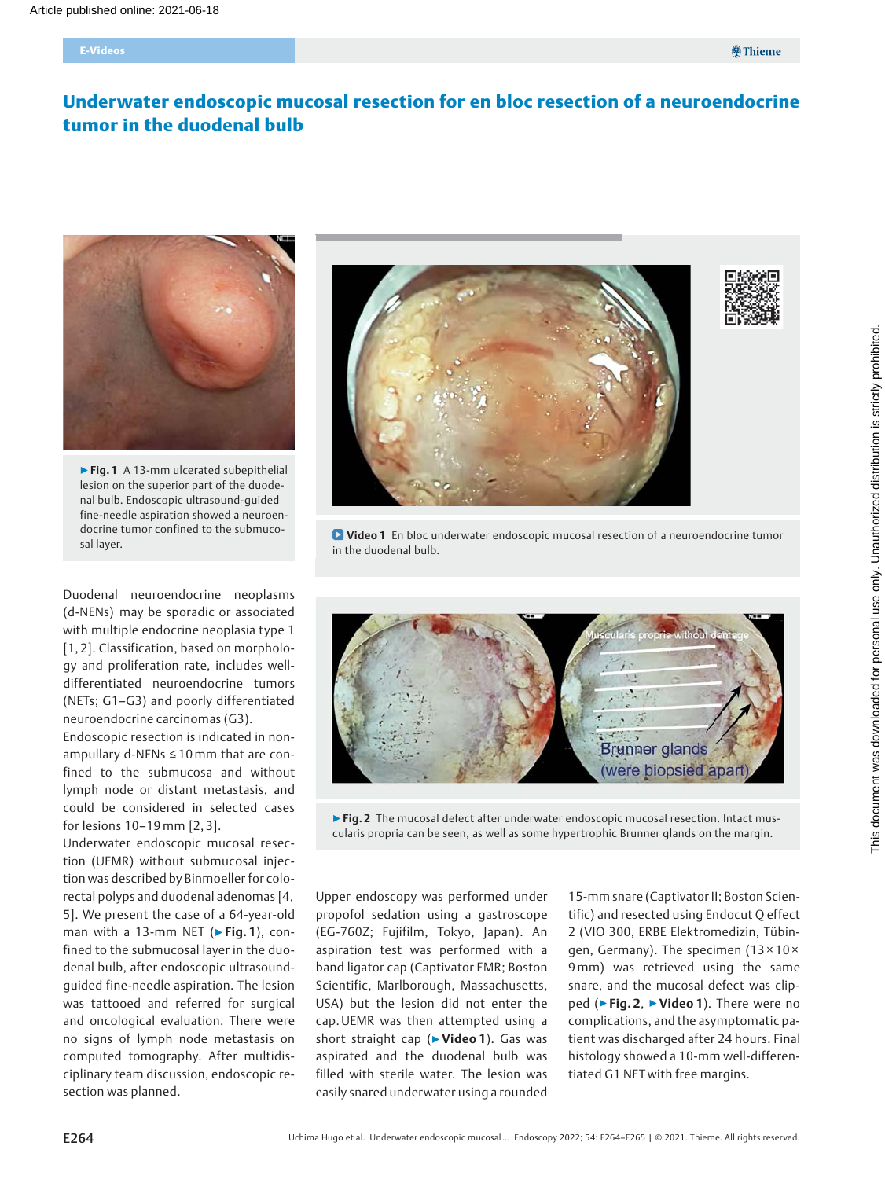# Underwater endoscopic mucosal resection for en bloc resection of a neuroendocrine tumor in the duodenal bulb



▶ Fig. 1 A 13-mm ulcerated subepithelial lesion on the superior part of the duodenal bulb. Endoscopic ultrasound-guided fine-needle aspiration showed a neuroendocrine tumor confined to the submucosal layer.

Duodenal neuroendocrine neoplasms (d-NENs) may be sporadic or associated with multiple endocrine neoplasia type 1 [1, 2]. Classification, based on morphology and proliferation rate, includes welldifferentiated neuroendocrine tumors (NETs; G1–G3) and poorly differentiated neuroendocrine carcinomas (G3).

Endoscopic resection is indicated in nonampullary d-NENs ≤ 10mm that are confined to the submucosa and without lymph node or distant metastasis, and could be considered in selected cases for lesions 10–19mm [2, 3].

Underwater endoscopic mucosal resection (UEMR) without submucosal injection was described by Binmoeller for colorectal polyps and duodenal adenomas [4, 5]. We present the case of a 64-year-old man with a 13-mm NET ( $\triangleright$  Fig. 1), confined to the submucosal layer in the duodenal bulb, after endoscopic ultrasoundguided fine-needle aspiration. The lesion was tattooed and referred for surgical and oncological evaluation. There were no signs of lymph node metastasis on computed tomography. After multidisciplinary team discussion, endoscopic resection was planned.



**D** Video 1 En bloc underwater endoscopic mucosal resection of a neuroendocrine tumor in the duodenal bulb.



▶ Fig. 2 The mucosal defect after underwater endoscopic mucosal resection. Intact muscularis propria can be seen, as well as some hypertrophic Brunner glands on the margin.

Upper endoscopy was performed under propofol sedation using a gastroscope (EG-760Z; Fujifilm, Tokyo, Japan). An aspiration test was performed with a band ligator cap (Captivator EMR; Boston Scientific, Marlborough, Massachusetts, USA) but the lesion did not enter the cap. UEMR was then attempted using a short straight cap (▶Video 1). Gas was aspirated and the duodenal bulb was filled with sterile water. The lesion was easily snared underwater using a rounded

15-mm snare (Captivator II; Boston Scientific) and resected using Endocut Q effect 2 (VIO 300, ERBE Elektromedizin, Tübingen, Germany). The specimen (13 × 10 × 9mm) was retrieved using the same snare, and the mucosal defect was clipped (► Fig. 2, ► Video 1). There were no complications, and the asymptomatic patient was discharged after 24 hours. Final histology showed a 10-mm well-differentiated G1 NET with free margins.